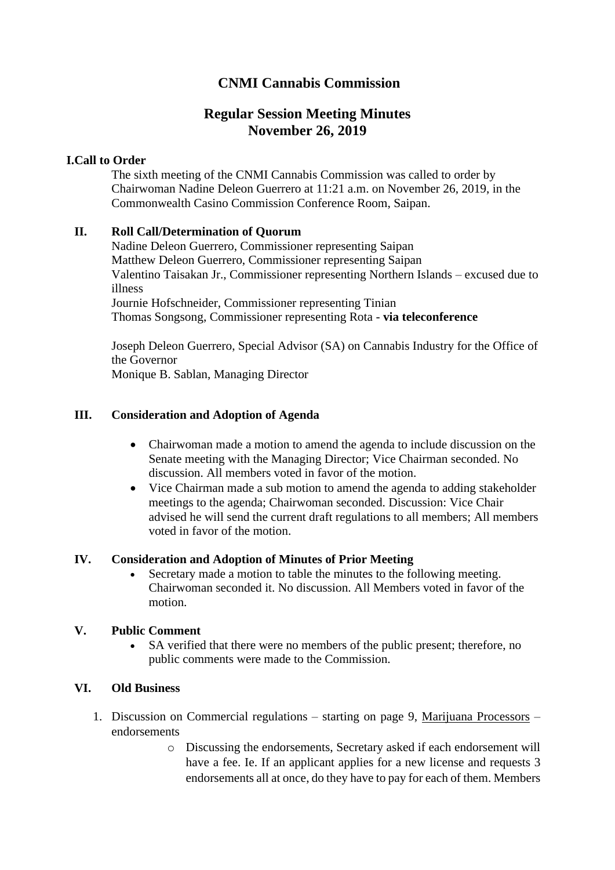# **CNMI Cannabis Commission**

# **Regular Session Meeting Minutes November 26, 2019**

### **I.Call to Order**

The sixth meeting of the CNMI Cannabis Commission was called to order by Chairwoman Nadine Deleon Guerrero at 11:21 a.m. on November 26, 2019, in the Commonwealth Casino Commission Conference Room, Saipan.

## **II. Roll Call/Determination of Quorum**

Nadine Deleon Guerrero, Commissioner representing Saipan Matthew Deleon Guerrero, Commissioner representing Saipan Valentino Taisakan Jr., Commissioner representing Northern Islands – excused due to illness Journie Hofschneider, Commissioner representing Tinian Thomas Songsong, Commissioner representing Rota - **via teleconference**

Joseph Deleon Guerrero, Special Advisor (SA) on Cannabis Industry for the Office of the Governor Monique B. Sablan, Managing Director

## **III. Consideration and Adoption of Agenda**

- Chairwoman made a motion to amend the agenda to include discussion on the Senate meeting with the Managing Director; Vice Chairman seconded. No discussion. All members voted in favor of the motion.
- Vice Chairman made a sub motion to amend the agenda to adding stakeholder meetings to the agenda; Chairwoman seconded. Discussion: Vice Chair advised he will send the current draft regulations to all members; All members voted in favor of the motion.

### **IV. Consideration and Adoption of Minutes of Prior Meeting**

• Secretary made a motion to table the minutes to the following meeting. Chairwoman seconded it. No discussion. All Members voted in favor of the motion.

### **V. Public Comment**

SA verified that there were no members of the public present; therefore, no public comments were made to the Commission.

### **VI. Old Business**

- 1. Discussion on Commercial regulations starting on page 9, Marijuana Processors endorsements
	- o Discussing the endorsements, Secretary asked if each endorsement will have a fee. Ie. If an applicant applies for a new license and requests 3 endorsements all at once, do they have to pay for each of them. Members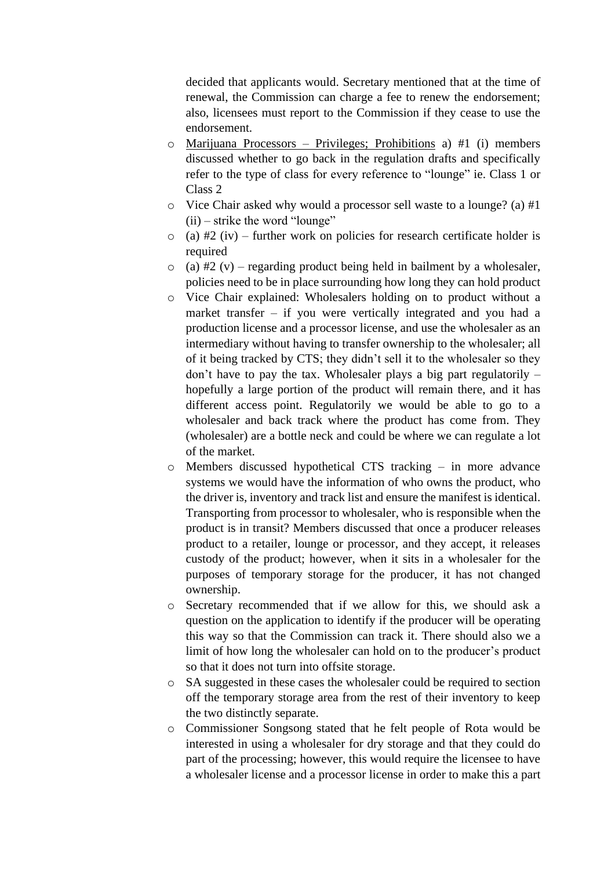decided that applicants would. Secretary mentioned that at the time of renewal, the Commission can charge a fee to renew the endorsement; also, licensees must report to the Commission if they cease to use the endorsement.

- o Marijuana Processors Privileges; Prohibitions a) #1 (i) members discussed whether to go back in the regulation drafts and specifically refer to the type of class for every reference to "lounge" ie. Class 1 or Class 2
- o Vice Chair asked why would a processor sell waste to a lounge? (a) #1  $(ii)$  – strike the word "lounge"
- $\circ$  (a) #2 (iv) further work on policies for research certificate holder is required
- $\circ$  (a) #2 (v) regarding product being held in bailment by a wholesaler, policies need to be in place surrounding how long they can hold product
- o Vice Chair explained: Wholesalers holding on to product without a market transfer – if you were vertically integrated and you had a production license and a processor license, and use the wholesaler as an intermediary without having to transfer ownership to the wholesaler; all of it being tracked by CTS; they didn't sell it to the wholesaler so they don't have to pay the tax. Wholesaler plays a big part regulatorily – hopefully a large portion of the product will remain there, and it has different access point. Regulatorily we would be able to go to a wholesaler and back track where the product has come from. They (wholesaler) are a bottle neck and could be where we can regulate a lot of the market.
- o Members discussed hypothetical CTS tracking in more advance systems we would have the information of who owns the product, who the driver is, inventory and track list and ensure the manifest is identical. Transporting from processor to wholesaler, who is responsible when the product is in transit? Members discussed that once a producer releases product to a retailer, lounge or processor, and they accept, it releases custody of the product; however, when it sits in a wholesaler for the purposes of temporary storage for the producer, it has not changed ownership.
- o Secretary recommended that if we allow for this, we should ask a question on the application to identify if the producer will be operating this way so that the Commission can track it. There should also we a limit of how long the wholesaler can hold on to the producer's product so that it does not turn into offsite storage.
- o SA suggested in these cases the wholesaler could be required to section off the temporary storage area from the rest of their inventory to keep the two distinctly separate.
- o Commissioner Songsong stated that he felt people of Rota would be interested in using a wholesaler for dry storage and that they could do part of the processing; however, this would require the licensee to have a wholesaler license and a processor license in order to make this a part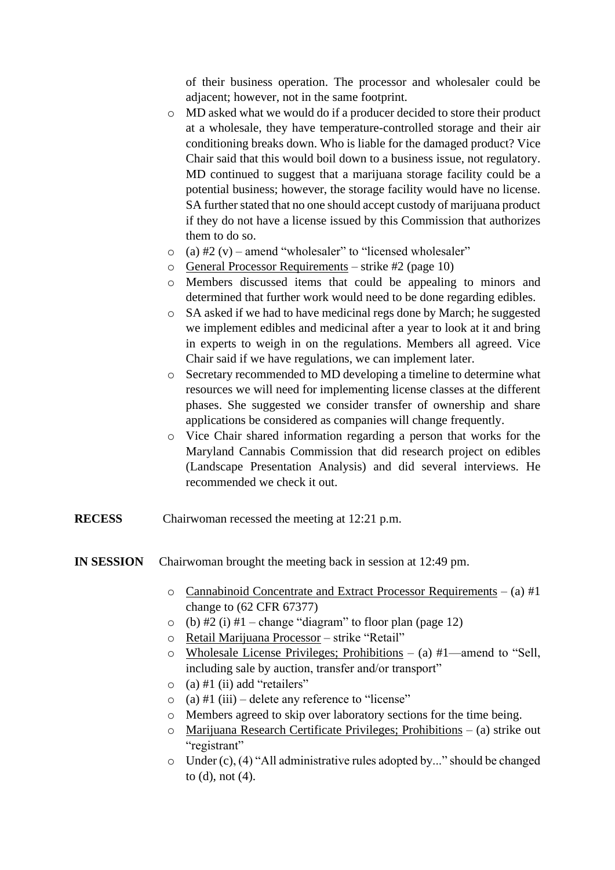of their business operation. The processor and wholesaler could be adjacent; however, not in the same footprint.

- o MD asked what we would do if a producer decided to store their product at a wholesale, they have temperature-controlled storage and their air conditioning breaks down. Who is liable for the damaged product? Vice Chair said that this would boil down to a business issue, not regulatory. MD continued to suggest that a marijuana storage facility could be a potential business; however, the storage facility would have no license. SA further stated that no one should accept custody of marijuana product if they do not have a license issued by this Commission that authorizes them to do so.
- $\circ$  (a) #2 (v) amend "wholesaler" to "licensed wholesaler"
- $\circ$  General Processor Requirements strike #2 (page 10)
- o Members discussed items that could be appealing to minors and determined that further work would need to be done regarding edibles.
- o SA asked if we had to have medicinal regs done by March; he suggested we implement edibles and medicinal after a year to look at it and bring in experts to weigh in on the regulations. Members all agreed. Vice Chair said if we have regulations, we can implement later.
- o Secretary recommended to MD developing a timeline to determine what resources we will need for implementing license classes at the different phases. She suggested we consider transfer of ownership and share applications be considered as companies will change frequently.
- o Vice Chair shared information regarding a person that works for the Maryland Cannabis Commission that did research project on edibles (Landscape Presentation Analysis) and did several interviews. He recommended we check it out.
- **RECESS** Chairwoman recessed the meeting at 12:21 p.m.
- **IN SESSION** Chairwoman brought the meeting back in session at 12:49 pm.
	- $\circ$  Cannabinoid Concentrate and Extract Processor Requirements (a) #1 change to (62 CFR 67377)
	- $\circ$  (b) #2 (i) #1 change "diagram" to floor plan (page 12)
	- o Retail Marijuana Processor strike "Retail"
	- $\circ$  Wholesale License Privileges; Prohibitions (a) #1—amend to "Sell, including sale by auction, transfer and/or transport"
	- $\circ$  (a) #1 (ii) add "retailers"
	- $\circ$  (a) #1 (iii) delete any reference to "license"
	- o Members agreed to skip over laboratory sections for the time being.
	- o Marijuana Research Certificate Privileges; Prohibitions (a) strike out "registrant"
	- o Under (c), (4) "All administrative rules adopted by..." should be changed to (d), not (4).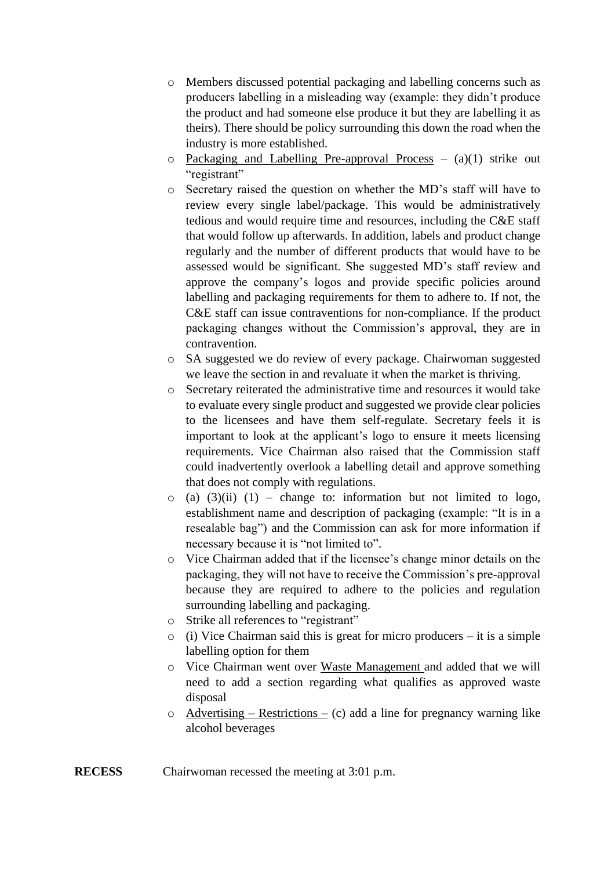- o Members discussed potential packaging and labelling concerns such as producers labelling in a misleading way (example: they didn't produce the product and had someone else produce it but they are labelling it as theirs). There should be policy surrounding this down the road when the industry is more established.
- $\circ$  Packaging and Labelling Pre-approval Process (a)(1) strike out "registrant"
- o Secretary raised the question on whether the MD's staff will have to review every single label/package. This would be administratively tedious and would require time and resources, including the C&E staff that would follow up afterwards. In addition, labels and product change regularly and the number of different products that would have to be assessed would be significant. She suggested MD's staff review and approve the company's logos and provide specific policies around labelling and packaging requirements for them to adhere to. If not, the C&E staff can issue contraventions for non-compliance. If the product packaging changes without the Commission's approval, they are in contravention.
- o SA suggested we do review of every package. Chairwoman suggested we leave the section in and revaluate it when the market is thriving.
- o Secretary reiterated the administrative time and resources it would take to evaluate every single product and suggested we provide clear policies to the licensees and have them self-regulate. Secretary feels it is important to look at the applicant's logo to ensure it meets licensing requirements. Vice Chairman also raised that the Commission staff could inadvertently overlook a labelling detail and approve something that does not comply with regulations.
- $\circ$  (a) (3)(ii) (1) change to: information but not limited to logo, establishment name and description of packaging (example: "It is in a resealable bag") and the Commission can ask for more information if necessary because it is "not limited to".
- o Vice Chairman added that if the licensee's change minor details on the packaging, they will not have to receive the Commission's pre-approval because they are required to adhere to the policies and regulation surrounding labelling and packaging.
- o Strike all references to "registrant"
- o (i) Vice Chairman said this is great for micro producers it is a simple labelling option for them
- o Vice Chairman went over Waste Management and added that we will need to add a section regarding what qualifies as approved waste disposal
- $\circ$  Advertising Restrictions (c) add a line for pregnancy warning like alcohol beverages
- **RECESS** Chairwoman recessed the meeting at 3:01 p.m.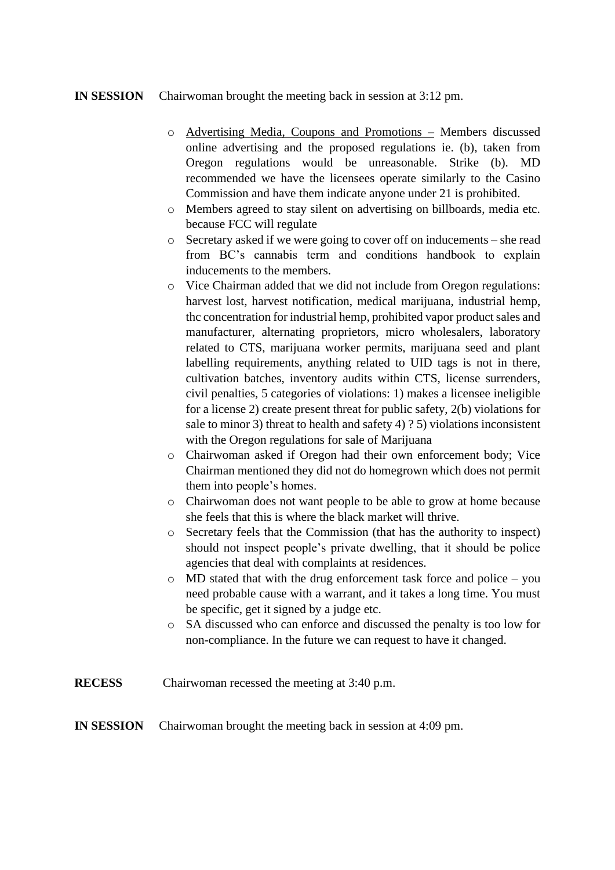#### **IN SESSION** Chairwoman brought the meeting back in session at 3:12 pm.

- o Advertising Media, Coupons and Promotions Members discussed online advertising and the proposed regulations ie. (b), taken from Oregon regulations would be unreasonable. Strike (b). MD recommended we have the licensees operate similarly to the Casino Commission and have them indicate anyone under 21 is prohibited.
- o Members agreed to stay silent on advertising on billboards, media etc. because FCC will regulate
- o Secretary asked if we were going to cover off on inducements she read from BC's cannabis term and conditions handbook to explain inducements to the members.
- o Vice Chairman added that we did not include from Oregon regulations: harvest lost, harvest notification, medical marijuana, industrial hemp, thc concentration for industrial hemp, prohibited vapor product sales and manufacturer, alternating proprietors, micro wholesalers, laboratory related to CTS, marijuana worker permits, marijuana seed and plant labelling requirements, anything related to UID tags is not in there, cultivation batches, inventory audits within CTS, license surrenders, civil penalties, 5 categories of violations: 1) makes a licensee ineligible for a license 2) create present threat for public safety, 2(b) violations for sale to minor 3) threat to health and safety 4) ? 5) violations inconsistent with the Oregon regulations for sale of Marijuana
- o Chairwoman asked if Oregon had their own enforcement body; Vice Chairman mentioned they did not do homegrown which does not permit them into people's homes.
- o Chairwoman does not want people to be able to grow at home because she feels that this is where the black market will thrive.
- o Secretary feels that the Commission (that has the authority to inspect) should not inspect people's private dwelling, that it should be police agencies that deal with complaints at residences.
- o MD stated that with the drug enforcement task force and police you need probable cause with a warrant, and it takes a long time. You must be specific, get it signed by a judge etc.
- o SA discussed who can enforce and discussed the penalty is too low for non-compliance. In the future we can request to have it changed.
- **RECESS** Chairwoman recessed the meeting at 3:40 p.m.

#### **IN SESSION** Chairwoman brought the meeting back in session at 4:09 pm.